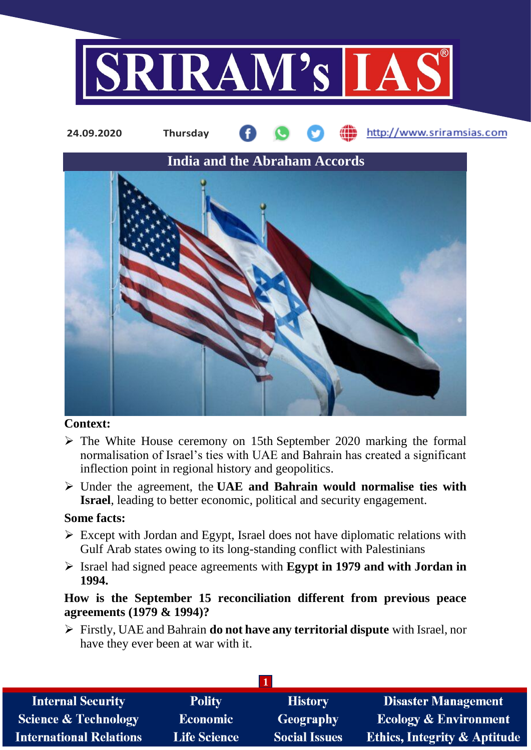



## **Context:**

- $\triangleright$  The White House ceremony on 15th September 2020 marking the formal normalisation of Israel's ties with UAE and Bahrain has created a significant inflection point in regional history and geopolitics.
- Under the agreement, the **UAE and Bahrain would normalise ties with Israel**, leading to better economic, political and security engagement.

## **Some facts:**

- $\triangleright$  Except with Jordan and Egypt, Israel does not have diplomatic relations with Gulf Arab states owing to its long-standing conflict with Palestinians
- Israel had signed peace agreements with **Egypt in 1979 and with Jordan in 1994.**

# **How is the September 15 reconciliation different from previous peace agreements (1979 & 1994)?**

 Firstly, UAE and Bahrain **do not have any territorial dispute** with Israel, nor have they ever been at war with it.

| <b>Internal Security</b>        | <b>Polity</b>       | <b>History</b>       | <b>Disaster Management</b>              |
|---------------------------------|---------------------|----------------------|-----------------------------------------|
| <b>Science &amp; Technology</b> | <b>Economic</b>     | Geography            | <b>Ecology &amp; Environment</b>        |
| <b>International Relations</b>  | <b>Life Science</b> | <b>Social Issues</b> | <b>Ethics, Integrity &amp; Aptitude</b> |